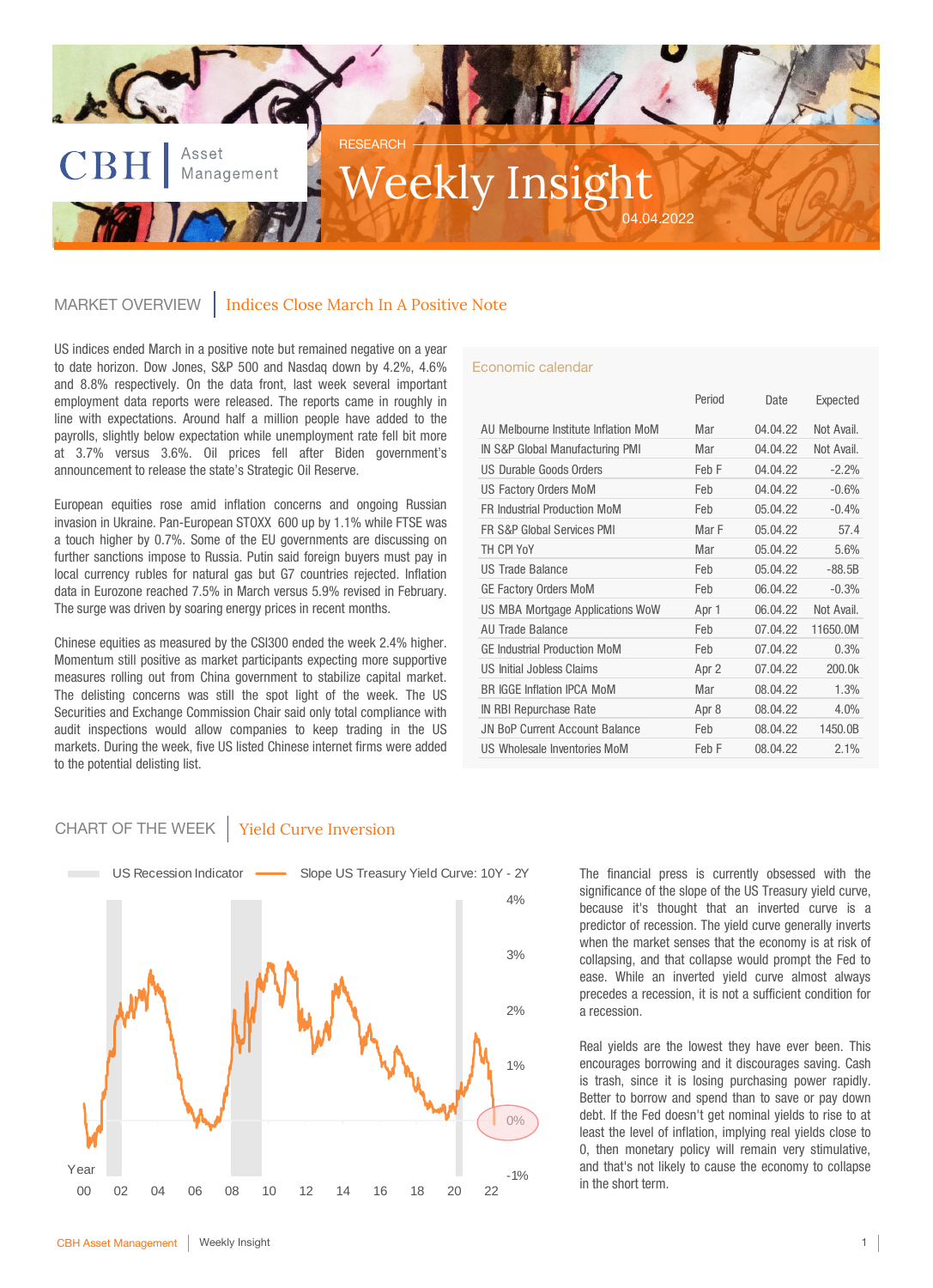

#### MARKET OVERVIEW | Indices Close March In A Positive Note

US indices ended March in a positive note but remained negative on a year to date horizon. Dow Jones, S&P 500 and Nasdaq down by 4.2%, 4.6% and 8.8% respectively. On the data front, last week several important employment data reports were released. The reports came in roughly in line with expectations. Around half a million people have added to the payrolls, slightly below expectation while unemployment rate fell bit more at 3.7% versus 3.6%. Oil prices fell after Biden government's announcement to release the state's Strategic Oil Reserve.

European equities rose amid inflation concerns and ongoing Russian invasion in Ukraine. Pan-European STOXX 600 up by 1.1% while FTSE was a touch higher by 0.7%. Some of the EU governments are discussing on further sanctions impose to Russia. Putin said foreign buyers must pay in local currency rubles for natural gas but G7 countries rejected. Inflation data in Eurozone reached 7.5% in March versus 5.9% revised in February. The surge was driven by soaring energy prices in recent months.

Chinese equities as measured by the CSI300 ended the week 2.4% higher. Momentum still positive as market participants expecting more supportive measures rolling out from China government to stabilize capital market. The delisting concerns was still the spot light of the week. The US Securities and Exchange Commission Chair said only total compliance with audit inspections would allow companies to keep trading in the US markets. During the week, five US listed Chinese internet firms were added to the potential delisting list.

#### Economic calendar

| AU Melbourne Institute Inflation MoM<br>04.04.22<br>Not Avail.<br>Mar<br>04.04.22<br>Not Avail.<br>IN S&P Global Manufacturing PMI<br>Mar<br>US Durable Goods Orders<br>Feb F<br>04.04.22<br>$-2.2%$<br><b>US Factory Orders MoM</b><br>04.04.22<br>Feb<br>$-0.6%$<br>05.04.22<br>$-0.4%$<br><b>FR Industrial Production MoM</b><br>Feb<br>Mar F<br>05.04.22<br>FR S&P Global Services PMI<br>57.4<br>TH CPI YoY<br>05.04.22<br>5.6%<br>Mar<br><b>US Trade Balance</b><br>Feb<br>05.04.22<br>$-88.5B$ | Expected |
|-------------------------------------------------------------------------------------------------------------------------------------------------------------------------------------------------------------------------------------------------------------------------------------------------------------------------------------------------------------------------------------------------------------------------------------------------------------------------------------------------------|----------|
|                                                                                                                                                                                                                                                                                                                                                                                                                                                                                                       |          |
|                                                                                                                                                                                                                                                                                                                                                                                                                                                                                                       |          |
|                                                                                                                                                                                                                                                                                                                                                                                                                                                                                                       |          |
|                                                                                                                                                                                                                                                                                                                                                                                                                                                                                                       |          |
|                                                                                                                                                                                                                                                                                                                                                                                                                                                                                                       |          |
|                                                                                                                                                                                                                                                                                                                                                                                                                                                                                                       |          |
|                                                                                                                                                                                                                                                                                                                                                                                                                                                                                                       |          |
|                                                                                                                                                                                                                                                                                                                                                                                                                                                                                                       |          |
| 06.04.22<br><b>GE Factory Orders MoM</b><br>Feb<br>$-0.3%$                                                                                                                                                                                                                                                                                                                                                                                                                                            |          |
| 06.04.22<br>Not Avail.<br>US MBA Mortgage Applications WoW<br>Apr 1                                                                                                                                                                                                                                                                                                                                                                                                                                   |          |
| <b>AU Trade Balance</b><br>07.04.22<br>11650.0M<br>Feb                                                                                                                                                                                                                                                                                                                                                                                                                                                |          |
| <b>GE Industrial Production MoM</b><br>07.04.22<br>Feb<br>0.3%                                                                                                                                                                                                                                                                                                                                                                                                                                        |          |
| US Initial Jobless Claims<br>Apr 2<br>07.04.22<br>200.0k                                                                                                                                                                                                                                                                                                                                                                                                                                              |          |
| <b>BR IGGE Inflation IPCA MoM</b><br>Mar<br>08.04.22<br>1.3%                                                                                                                                                                                                                                                                                                                                                                                                                                          |          |
| Apr 8<br>08.04.22<br>4.0%<br>IN RBI Repurchase Rate                                                                                                                                                                                                                                                                                                                                                                                                                                                   |          |
| <b>JN BoP Current Account Balance</b><br>Feb<br>08.04.22<br>1450.0B                                                                                                                                                                                                                                                                                                                                                                                                                                   |          |
| US Wholesale Inventories MoM<br>Feb F<br>08.04.22<br>2.1%                                                                                                                                                                                                                                                                                                                                                                                                                                             |          |

#### CHART OF THE WEEK | Yield Curve Inversion



The financial press is currently obsessed with the significance of the slope of the US Treasury yield curve, because it's thought that an inverted curve is a predictor of recession. The yield curve generally inverts when the market senses that the economy is at risk of collapsing, and that collapse would prompt the Fed to ease. While an inverted yield curve almost always precedes a recession, it is not a sufficient condition for a recession.

Real yields are the lowest they have ever been. This encourages borrowing and it discourages saving. Cash is trash, since it is losing purchasing power rapidly. Better to borrow and spend than to save or pay down debt. If the Fed doesn't get nominal yields to rise to at least the level of inflation, implying real yields close to 0, then monetary policy will remain very stimulative, and that's not likely to cause the economy to collapse in the short term.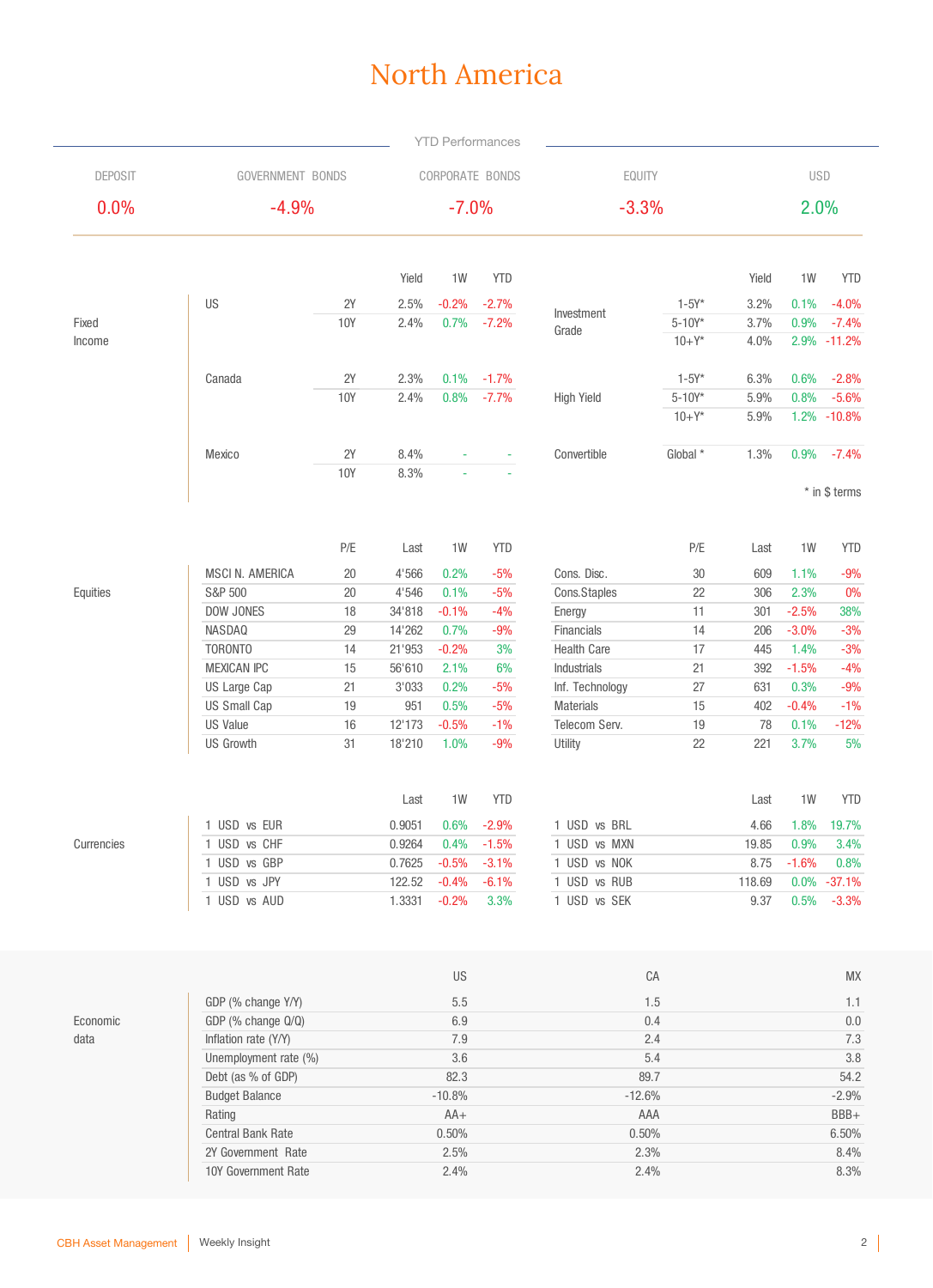## North America

|                |                        |                         |         |          | <b>YTD Performances</b>  |                    |                           |              |         |                        |
|----------------|------------------------|-------------------------|---------|----------|--------------------------|--------------------|---------------------------|--------------|---------|------------------------|
| <b>DEPOSIT</b> |                        | <b>GOVERNMENT BONDS</b> |         |          | CORPORATE BONDS          | EQUITY             |                           | <b>USD</b>   |         |                        |
| 0.0%           | $-4.9%$                |                         | $-7.0%$ |          |                          | $-3.3%$            |                           | 2.0%         |         |                        |
|                |                        |                         | Yield   | 1W       | <b>YTD</b>               |                    |                           | Yield        | 1W      | <b>YTD</b>             |
|                | US                     | 2Y                      | 2.5%    | $-0.2%$  | $-2.7%$                  |                    | $1 - 5Y^*$                | 3.2%         | 0.1%    | $-4.0%$                |
| Fixed          |                        | 10Y                     | 2.4%    | 0.7%     | $-7.2%$                  | Investment         | $5 - 10Y^*$               | 3.7%         | 0.9%    | $-7.4%$                |
| Income         |                        |                         |         |          |                          | Grade              | $10 + Y^*$                | 4.0%         |         | 2.9% -11.2%            |
|                |                        |                         |         |          |                          |                    |                           |              |         |                        |
|                | Canada                 | 2Y                      | 2.3%    | 0.1%     | $-1.7%$                  |                    | $1 - 5Y^*$                | 6.3%         | 0.6%    | $-2.8%$                |
|                |                        | 10Y                     | 2.4%    | 0.8%     | $-7.7%$                  | <b>High Yield</b>  | $5 - 10Y^*$<br>$10 + Y^*$ | 5.9%<br>5.9% | 0.8%    | $-5.6%$<br>1.2% -10.8% |
|                |                        |                         |         |          |                          |                    |                           |              |         |                        |
|                | Mexico                 | 2Y                      | 8.4%    |          | $\overline{\phantom{a}}$ | Convertible        | Global *                  | 1.3%         | 0.9%    | $-7.4%$                |
|                |                        | 10Y                     | 8.3%    |          |                          |                    |                           |              |         | * in \$ terms          |
|                |                        | P/E                     | Last    | 1W       | <b>YTD</b>               |                    | P/E                       | Last         | 1W      | <b>YTD</b>             |
|                | <b>MSCI N. AMERICA</b> | 20                      | 4'566   | 0.2%     | $-5%$                    | Cons. Disc.        | 30                        | 609          | 1.1%    | $-9%$                  |
| Equities       | S&P 500                | $20\,$                  | 4'546   | 0.1%     | $-5%$                    | Cons.Staples       | 22                        | 306          | 2.3%    | $0\%$                  |
|                | DOW JONES              | 18                      | 34'818  | $-0.1%$  | $-4%$                    | Energy             | 11                        | 301          | $-2.5%$ | 38%                    |
|                | NASDAQ                 | 29                      | 14'262  | 0.7%     | $-9%$                    | Financials         | 14                        | 206          | $-3.0%$ | $-3%$                  |
|                | <b>TORONTO</b>         | 14                      | 21'953  | $-0.2%$  | 3%                       | <b>Health Care</b> | 17                        | 445          | 1.4%    | $-3%$                  |
|                | <b>MEXICAN IPC</b>     | 15                      | 56'610  | 2.1%     | 6%                       | Industrials        | 21                        | 392          | $-1.5%$ | $-4%$                  |
|                | US Large Cap           | 21                      | 3'033   | 0.2%     | $-5%$                    | Inf. Technology    | 27                        | 631          | 0.3%    | $-9%$                  |
|                | <b>US Small Cap</b>    | 19                      | 951     | 0.5%     | $-5%$                    | Materials          | 15                        | 402          | $-0.4%$ | $-1%$                  |
|                | <b>US Value</b>        | 16                      | 12'173  | $-0.5%$  | $-1%$                    | Telecom Serv.      | 19                        | 78           | 0.1%    | $-12%$                 |
|                | <b>US Growth</b>       | 31                      | 18'210  | 1.0%     | $-9%$                    | Utility            | 22                        | 221          | 3.7%    | 5%                     |
|                |                        |                         | Last    | 1W       | <b>YTD</b>               |                    |                           | Last         | 1W      | <b>YTD</b>             |
|                | 1 USD vs EUR           |                         | 0.9051  |          | $0.6\% -2.9\%$           | 1 USD vs BRL       |                           | 4.66         |         | 1.8% 19.7%             |
| Currencies     | 1 USD vs CHF           |                         | 0.9264  | 0.4%     | $-1.5%$                  | 1 USD vs MXN       |                           | 19.85        | 0.9%    | 3.4%                   |
|                | 1 USD vs GBP           |                         | 0.7625  | $-0.5%$  | $-3.1%$                  | 1 USD vs NOK       |                           | 8.75         | $-1.6%$ | 0.8%                   |
|                | 1 USD vs JPY           |                         | 122.52  | $-0.4%$  | $-6.1%$                  | 1 USD vs RUB       |                           | 118.69       |         | $0.0\% -37.1\%$        |
|                | 1 USD vs AUD           |                         | 1.3331  | $-0.2%$  | 3.3%                     | 1 USD vs SEK       |                           | 9.37         | 0.5%    | $-3.3%$                |
|                |                        |                         |         | US       |                          |                    | $\mathbb{C}\mathbb{A}$    |              |         | MX                     |
|                | GDP (% change Y/Y)     |                         |         | 5.5      |                          |                    | 1.5                       |              |         | 1.1                    |
| Economic       | GDP (% change Q/Q)     |                         |         | 6.9      |                          |                    | 0.4                       |              |         | 0.0                    |
| data           | Inflation rate (Y/Y)   |                         |         | 7.9      |                          |                    | 2.4                       |              |         | 7.3                    |
|                | Unemployment rate (%)  |                         |         | 3.6      |                          |                    | 5.4                       |              |         | 3.8                    |
|                | Debt (as % of GDP)     |                         |         | 82.3     |                          |                    | 89.7                      |              |         | 54.2                   |
|                | <b>Budget Balance</b>  |                         |         | $-10.8%$ |                          | $-12.6%$           |                           |              |         | $-2.9%$                |
|                | Rating                 |                         |         | $AA+$    |                          |                    | AAA                       |              |         | $BBB+$                 |
|                | Central Bank Rate      |                         |         | 0.50%    |                          | 0.50%              |                           |              |         | 6.50%                  |
|                | 2Y Government Rate     |                         |         | 2.5%     |                          |                    | 2.3%                      |              |         | 8.4%                   |
|                | 10Y Government Rate    |                         |         | 2.4%     |                          |                    | 2.4%                      |              |         | 8.3%                   |

۰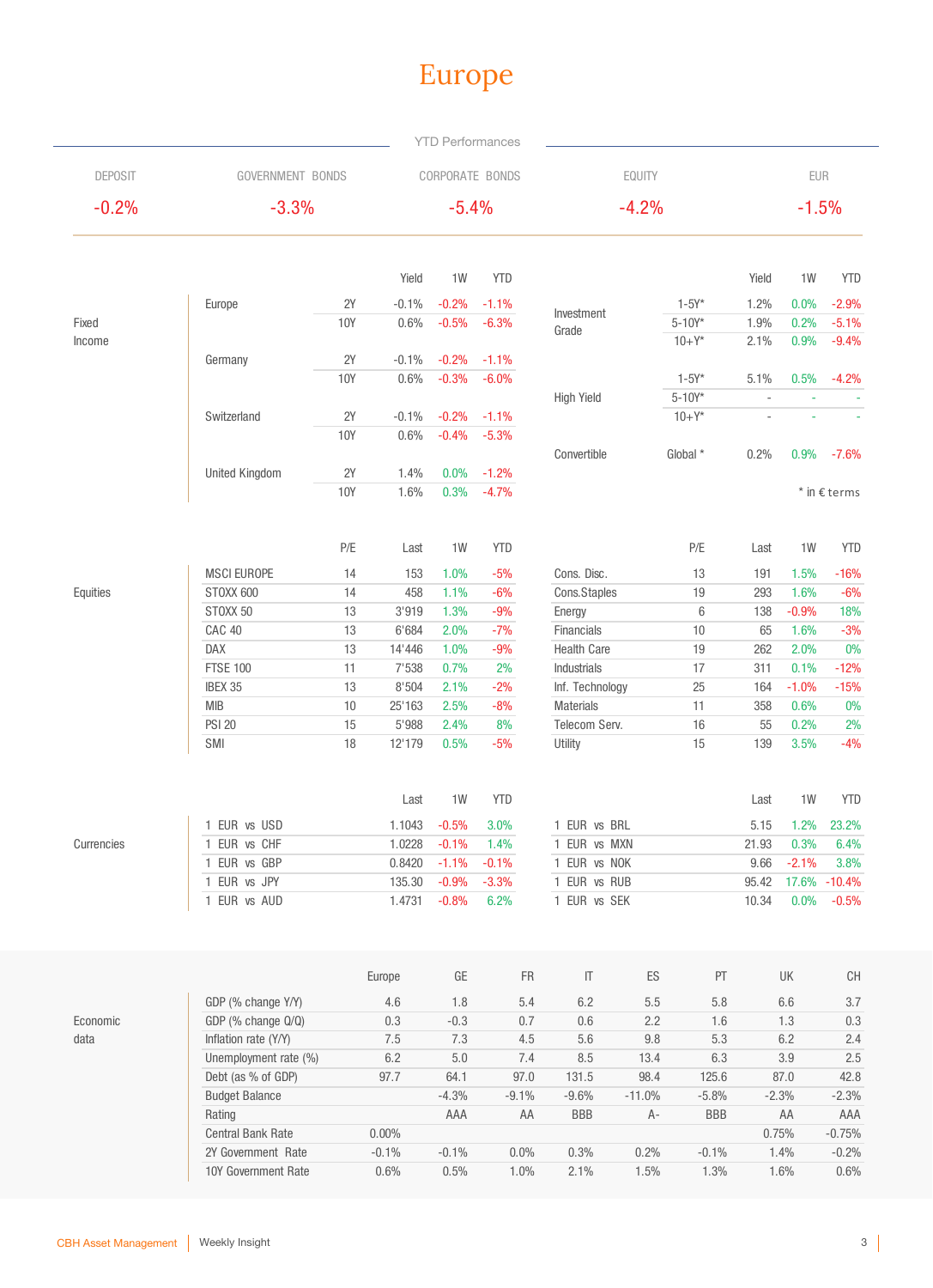## Europe

|                                           |                                           |            |                          |                 | <b>YTD Performances</b> |            |                                   |              |                 |           |              |                 |  |
|-------------------------------------------|-------------------------------------------|------------|--------------------------|-----------------|-------------------------|------------|-----------------------------------|--------------|-----------------|-----------|--------------|-----------------|--|
| <b>DEPOSIT</b><br><b>GOVERNMENT BONDS</b> |                                           |            |                          |                 | CORPORATE BONDS         |            | EQUITY                            |              |                 |           |              | EUR             |  |
| $-0.2%$                                   | $-3.3%$                                   |            |                          | $-5.4%$         |                         |            | $-4.2%$                           |              |                 |           | $-1.5%$      |                 |  |
|                                           |                                           |            | Yield                    | 1W              | <b>YTD</b>              |            |                                   |              |                 | Yield     | 1W           | <b>YTD</b>      |  |
|                                           | Europe                                    | 2Y         | $-0.1%$                  | $-0.2%$         | $-1.1%$                 |            |                                   |              | $1 - 5Y^*$      | 1.2%      | 0.0%         | $-2.9%$         |  |
| Fixed                                     |                                           | <b>10Y</b> | 0.6%                     | $-0.5%$         | $-6.3%$                 |            | Investment                        |              | $5 - 10Y^*$     | 1.9%      | 0.2%         | $-5.1%$         |  |
| Income                                    |                                           |            |                          |                 |                         |            | Grade                             |              | $10 + Y^*$      | 2.1%      | 0.9%         | $-9.4%$         |  |
|                                           | Germany                                   | 2Y         | $-0.1%$                  | $-0.2%$         | $-1.1%$                 |            |                                   |              |                 |           |              |                 |  |
|                                           |                                           | 10Y        | 0.6%                     | $-0.3%$         | $-6.0%$                 |            |                                   |              | $1 - 5Y^*$      | 5.1%      | 0.5%         | $-4.2%$         |  |
|                                           |                                           |            |                          |                 |                         |            | <b>High Yield</b>                 |              | $5 - 10Y^*$     | ÷,        |              |                 |  |
|                                           | Switzerland                               | 2Y         | $-0.1%$                  | $-0.2%$         | $-1.1%$                 |            |                                   |              | $10 + Y^*$      |           |              |                 |  |
|                                           |                                           | 10Y        | 0.6%                     | $-0.4%$         | $-5.3%$                 |            |                                   |              |                 |           |              |                 |  |
|                                           |                                           |            |                          |                 |                         |            | Convertible                       |              | Global *        | 0.2%      | 0.9%         | $-7.6%$         |  |
|                                           | United Kingdom                            | 2Y         | 1.4%                     | 0.0%            | $-1.2%$                 |            |                                   |              |                 |           |              |                 |  |
|                                           |                                           | 10Y        | 1.6%                     | 0.3%            | $-4.7%$                 |            |                                   |              |                 |           |              | * in $E$ terms  |  |
|                                           |                                           | P/E        | Last                     | 1W              | <b>YTD</b>              |            |                                   |              | P/E             | Last      | 1W           | <b>YTD</b>      |  |
|                                           |                                           |            |                          |                 |                         |            |                                   |              |                 |           |              |                 |  |
|                                           | <b>MSCI EUROPE</b>                        | 14         | 153                      | 1.0%            | $-5%$                   |            | Cons. Disc.                       |              | 13              | 191       | 1.5%         | $-16%$          |  |
| Equities                                  | ST0XX 600                                 | 14         | 458                      | 1.1%            | $-6%$                   |            | Cons.Staples                      |              | 19              | 293       | 1.6%         | $-6%$           |  |
|                                           | STOXX 50                                  | 13         | 3'919                    | 1.3%            | $-9%$                   |            | Energy                            |              | $\,6\,$         | 138       | $-0.9%$      | 18%             |  |
|                                           | CAC 40                                    | 13         | 6'684                    | 2.0%            | $-7%$                   |            | Financials                        |              | 10              | 65        | 1.6%         | $-3%$           |  |
|                                           | DAX                                       | 13         | 14'446                   | 1.0%            | $-9%$                   |            | <b>Health Care</b>                |              | 19              | 262       | 2.0%         | $0\%$           |  |
|                                           | <b>FTSE 100</b>                           | 11         | 7'538                    | 0.7%            | $2\%$                   |            | Industrials                       |              | 17              | 311       | 0.1%         | $-12%$          |  |
|                                           | IBEX 35                                   | 13         | 8'504                    | 2.1%            | $-2%$                   |            | Inf. Technology                   |              | 25              | 164       | $-1.0%$      | $-15%$          |  |
|                                           | MIB<br><b>PSI 20</b>                      | 10         | 25'163                   | 2.5%            | $-8%$                   |            | <b>Materials</b>                  |              | 11<br>16        | 358       | 0.6%<br>0.2% | $0\%$<br>2%     |  |
|                                           | SMI                                       | 15<br>18   | 5'988<br>12'179          | 2.4%<br>0.5%    | 8%<br>$-5%$             |            | Telecom Serv.<br>Utility          |              | 15              | 55<br>139 | 3.5%         | $-4%$           |  |
|                                           |                                           |            |                          |                 |                         |            |                                   |              |                 |           |              |                 |  |
|                                           |                                           |            | Last                     | 1W              | <b>YTD</b>              |            |                                   |              |                 | Last      | 1W           | <b>YTD</b>      |  |
|                                           | 1 EUR vs USD                              |            |                          | 1.1043 -0.5%    | 3.0%                    |            | 1 EUR vs BRL                      |              |                 | 5.15      | 1.2%         | 23.2%           |  |
| Currencies                                | 1 EUR vs CHF                              |            | 1.0228                   | $-0.1%$         | 1.4%                    |            | 1 EUR vs MXN                      |              |                 | 21.93     | 0.3%         | 6.4%            |  |
|                                           | 1 EUR vs GBP                              |            | 0.8420                   | $-1.1%$         | $-0.1%$                 |            | 1 EUR vs NOK                      |              |                 | 9.66      | $-2.1%$      | 3.8%            |  |
|                                           | 1 EUR vs JPY                              |            | 135.30                   | $-0.9%$         | $-3.3%$                 |            | 1 EUR vs RUB                      |              |                 | 95.42     | 17.6%        | $-10.4%$        |  |
|                                           | 1 EUR vs AUD                              |            | 1.4731                   | $-0.8%$         | 6.2%                    |            | 1 EUR vs SEK                      |              |                 | 10.34     | 0.0%         | $-0.5%$         |  |
|                                           |                                           |            |                          | $\mathsf{GE}$   |                         | ${\sf FR}$ | $\ensuremath{\mathsf{IT}}\xspace$ | ${\sf ES}$   | $\mathsf{PT}$   |           | UK           | CH              |  |
|                                           |                                           |            | Europe                   |                 |                         |            |                                   |              |                 |           |              |                 |  |
|                                           | GDP (% change Y/Y)                        |            | 4.6                      | 1.8             |                         | 5.4        | 6.2                               | 5.5          | 5.8             |           | 6.6          | 3.7             |  |
| Economic                                  | GDP (% change Q/Q)                        |            | 0.3                      | $-0.3$          |                         | 0.7        | 0.6                               | 2.2          | 1.6             |           | 1.3          | 0.3             |  |
| data                                      | Inflation rate (Y/Y)                      |            | 7.5<br>5.6<br>7.3<br>4.5 |                 | 9.8                     | 5.3        |                                   | 6.2          | 2.4             |           |              |                 |  |
|                                           | Unemployment rate (%)                     |            | $6.2\,$                  | $5.0\,$         |                         | 7.4        | 8.5                               | 13.4         | 6.3             |           | 3.9          | $2.5\,$         |  |
|                                           | Debt (as % of GDP)                        |            | 97.7                     | 64.1            |                         | 97.0       | 131.5                             | 98.4         | 125.6           |           | 87.0         | 42.8            |  |
|                                           | <b>Budget Balance</b>                     |            |                          | $-4.3%$         | $-9.1%$                 |            | $-9.6%$                           | $-11.0%$     | $-5.8%$         |           | $-2.3%$      | $-2.3%$         |  |
|                                           | Rating                                    |            |                          | AAA             |                         | AA         | <b>BBB</b>                        | A-           | <b>BBB</b>      |           | AA           | AAA             |  |
|                                           | Central Bank Rate                         |            | 0.00%                    |                 |                         |            |                                   |              |                 |           | 0.75%        | $-0.75%$        |  |
|                                           | 2Y Government Rate<br>10Y Government Rate |            | $-0.1%$                  | $-0.1%$<br>0.5% | 0.0%                    |            | 0.3%                              | 0.2%<br>1.5% | $-0.1%$<br>1.3% |           | 1.4%         | $-0.2%$<br>0.6% |  |
|                                           |                                           |            | 0.6%                     |                 | 1.0%                    |            | 2.1%                              |              |                 |           | 1.6%         |                 |  |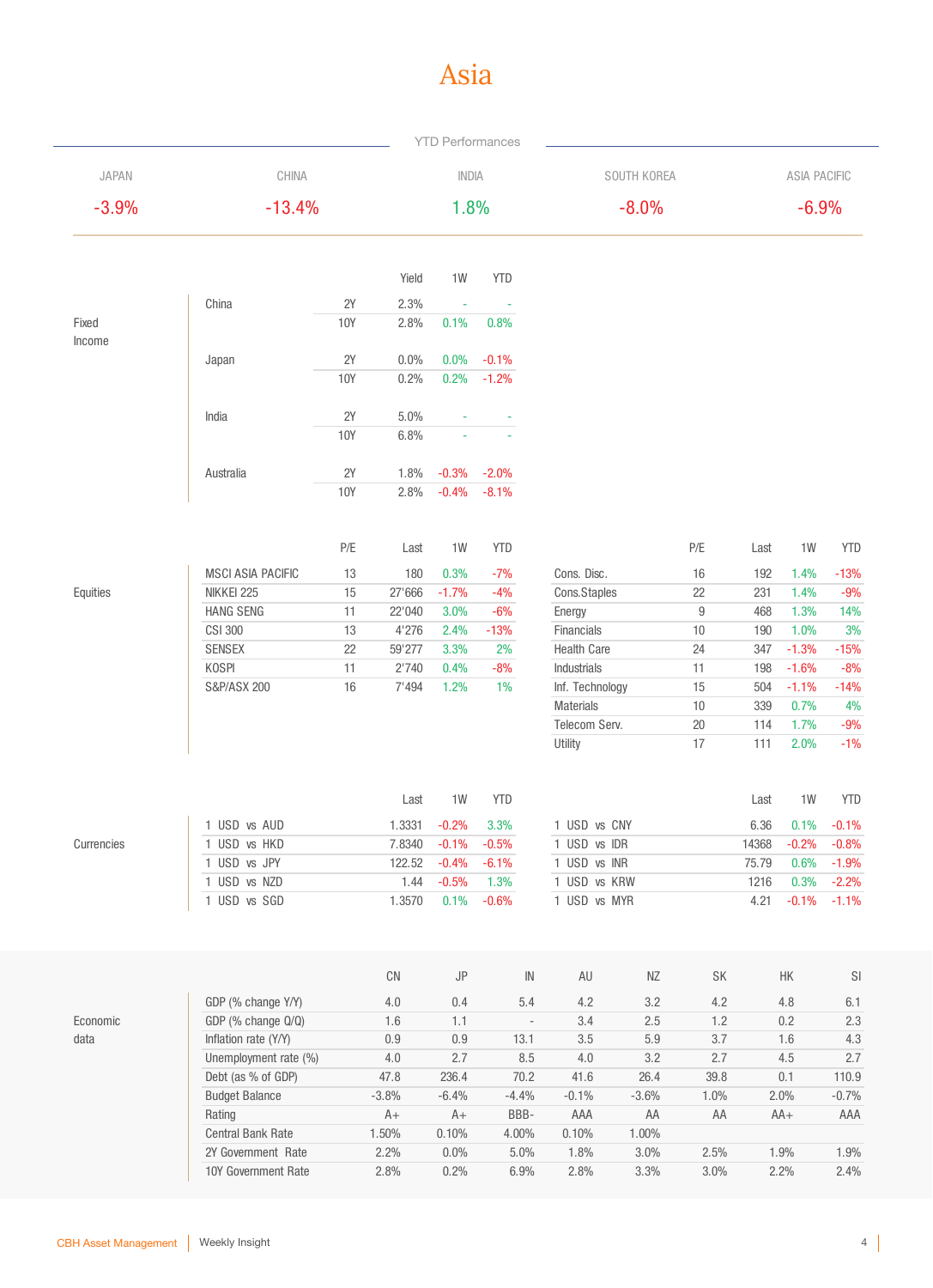## Asia

|                 |                                            |                  |                  |                    | <b>YTD Performances</b>         |                                   |             |                  |               |                 |                    |
|-----------------|--------------------------------------------|------------------|------------------|--------------------|---------------------------------|-----------------------------------|-------------|------------------|---------------|-----------------|--------------------|
| <b>JAPAN</b>    | CHINA                                      |                  |                  | INDIA              |                                 |                                   | SOUTH KOREA |                  |               |                 |                    |
| $-3.9%$         | $-13.4%$                                   |                  |                  |                    | 1.8%                            |                                   |             | $-8.0%$          |               |                 | $-6.9%$            |
|                 |                                            |                  | Yield            | 1W                 | <b>YTD</b>                      |                                   |             |                  |               |                 |                    |
|                 | China                                      | 2Y               | 2.3%             |                    |                                 |                                   |             |                  |               |                 |                    |
| Fixed<br>Income |                                            | <b>10Y</b>       | 2.8%             | 0.1%               | 0.8%                            |                                   |             |                  |               |                 |                    |
|                 | Japan                                      | 2Y<br><b>10Y</b> | 0.0%<br>0.2%     | 0.0%<br>0.2%       | $-0.1%$<br>$-1.2%$              |                                   |             |                  |               |                 |                    |
|                 | India                                      | 2Y               | 5.0%             |                    |                                 |                                   |             |                  |               |                 |                    |
|                 |                                            | 10Y              | 6.8%             |                    |                                 |                                   |             |                  |               |                 |                    |
|                 | Australia                                  | 2Y<br>10Y        | 1.8%<br>2.8%     | $-0.3%$<br>$-0.4%$ | $-2.0%$<br>$-8.1%$              |                                   |             |                  |               |                 |                    |
|                 |                                            |                  |                  |                    |                                 |                                   |             |                  |               |                 |                    |
|                 |                                            | P/E              | Last             | 1W                 | <b>YTD</b>                      |                                   |             | P/E              | Last          | 1W              | <b>YTD</b>         |
|                 | <b>MSCI ASIA PACIFIC</b>                   | 13               | 180              | 0.3%               | $-7%$                           | Cons. Disc.                       |             | 16               | 192           | 1.4%            | $-13%$             |
| Equities        | NIKKEI 225                                 | 15               | 27'666           | $-1.7%$            | $-4%$                           | Cons.Staples                      |             | 22               | 231           | 1.4%            | $-9%$              |
|                 | <b>HANG SENG</b>                           | 11               | 22'040           | 3.0%               | $-6%$                           | Energy                            |             | $\boldsymbol{9}$ | 468           | 1.3%            | 14%                |
|                 | CSI 300                                    | 13               | 4'276            | 2.4%               | $-13%$                          | Financials                        |             | 10               | 190           | 1.0%            | 3%                 |
|                 | <b>SENSEX</b>                              | 22               | 59'277           | 3.3%               | $2\%$                           | <b>Health Care</b>                |             | 24               | 347           | $-1.3%$         | $-15%$             |
|                 | <b>KOSPI</b>                               | 11               | 2'740            | 0.4%               | $-8%$                           | Industrials                       |             | 11               | 198           | $-1.6%$         | $-8%$              |
|                 | S&P/ASX 200                                | 16               | 7'494            | 1.2%               | 1%                              | Inf. Technology                   |             | 15               | 504           | $-1.1%$         | $-14%$             |
|                 |                                            |                  |                  |                    |                                 | <b>Materials</b><br>Telecom Serv. |             | 10<br>20         | 339<br>114    | 0.7%<br>1.7%    | 4%<br>$-9%$        |
|                 |                                            |                  |                  |                    |                                 | Utility                           |             | 17               | 111           | 2.0%            | $-1%$              |
|                 |                                            |                  | Last             | 1W                 | <b>YTD</b>                      |                                   |             |                  | Last          | 1W              | <b>YTD</b>         |
|                 |                                            |                  |                  |                    |                                 |                                   |             |                  |               |                 |                    |
| Currencies      | 1 USD vs AUD                               |                  | 1.3331<br>7.8340 | $-0.2%$            | 3.3%                            | 1 USD vs CNY                      |             |                  | 6.36<br>14368 | $0.1\% -0.1\%$  |                    |
|                 | 1 USD vs HKD<br>1 USD vs JPY               |                  | 122.52           | $-0.1%$<br>$-0.4%$ | $-0.5%$<br>$-6.1%$              | 1 USD vs IDR<br>1 USD vs INR      |             |                  | 75.79         | $-0.2%$<br>0.6% | $-0.8%$<br>$-1.9%$ |
|                 | 1 USD vs NZD                               |                  | 1.44             | $-0.5%$            | 1.3%                            | 1 USD vs KRW                      |             |                  | 1216          | 0.3%            | $-2.2%$            |
|                 | 1 USD vs SGD                               |                  | 1.3570           | 0.1%               | $-0.6%$                         | 1 USD vs MYR                      |             |                  | 4.21          | $-0.1%$         | $-1.1%$            |
|                 |                                            |                  |                  |                    |                                 |                                   |             |                  |               |                 |                    |
|                 |                                            |                  | ${\sf CN}$       | JP                 | ${\sf IN}$                      | AU                                | NZ          | SK               |               | HK              | SI                 |
| Economic        | GDP (% change Y/Y)                         |                  | 4.0              | 0.4                | 5.4<br>$\overline{\phantom{a}}$ | 4.2<br>3.4                        | 3.2         | 4.2              |               | 4.8             | 6.1                |
| data            | GDP (% change Q/Q)<br>Inflation rate (Y/Y) |                  | 1.6<br>0.9       | 1.1<br>0.9         | 13.1                            | 3.5                               | 2.5<br>5.9  | 1.2<br>3.7       |               | 0.2<br>1.6      | 2.3<br>4.3         |
|                 | Unemployment rate (%)                      |                  | 4.0              | 2.7                | 8.5                             | 4.0                               | 3.2         | 2.7              |               | 4.5             | 2.7                |
|                 | Debt (as % of GDP)                         |                  | 47.8             | 236.4              | 70.2                            | 41.6                              | 26.4        | 39.8             |               | 0.1             | 110.9              |
|                 | <b>Budget Balance</b>                      |                  | $-3.8%$          | $-6.4%$            | $-4.4%$                         | $-0.1%$                           | $-3.6%$     | 1.0%             |               | 2.0%            | $-0.7%$            |
|                 | Rating                                     |                  | $A+$             | $A+$               | BBB-                            | AAA                               | AA          | AA               |               | $AA+$           | AAA                |
|                 | Central Bank Rate                          |                  | 1.50%            | 0.10%              | 4.00%                           | 0.10%                             | 1.00%       |                  |               |                 |                    |
|                 | 2Y Government Rate                         |                  | 2.2%             | 0.0%               | 5.0%                            | 1.8%                              | 3.0%        | 2.5%             |               | 1.9%            | 1.9%               |
|                 | 10Y Government Rate                        |                  | 2.8%             | 0.2%               | 6.9%                            | 2.8%                              | 3.3%        | 3.0%             |               | 2.2%            | 2.4%               |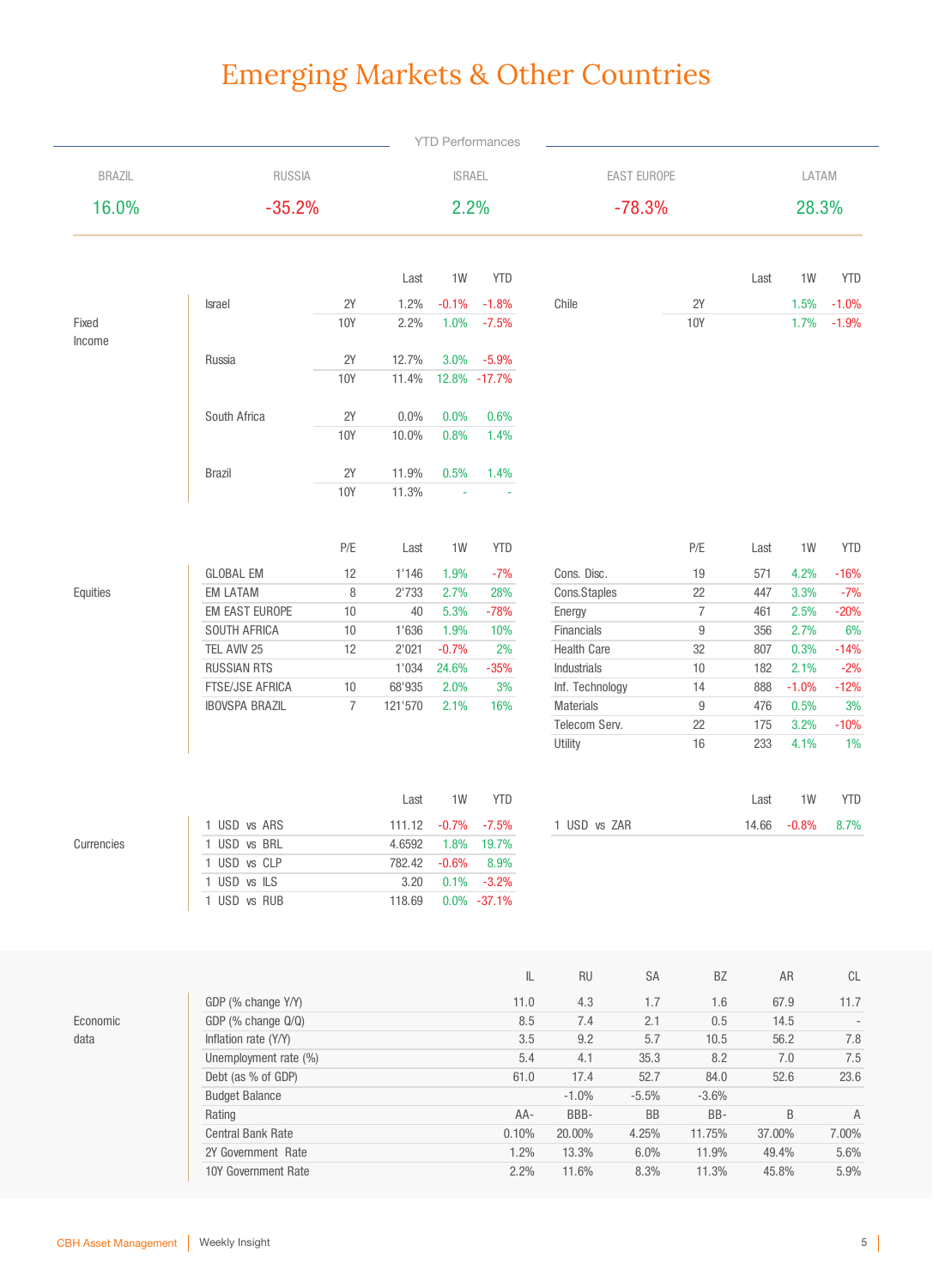# Emerging Markets & Other Countries

|                                |                                          |                |               |         | <b>YTD Performances</b> |                    |                      |                  |        |              |                                  |  |
|--------------------------------|------------------------------------------|----------------|---------------|---------|-------------------------|--------------------|----------------------|------------------|--------|--------------|----------------------------------|--|
| <b>BRAZIL</b><br><b>RUSSIA</b> |                                          |                | <b>ISRAEL</b> |         |                         | <b>EAST EUROPE</b> |                      |                  |        | LATAM        |                                  |  |
| 16.0%                          | $-35.2%$                                 |                |               | 2.2%    |                         |                    | $-78.3%$             |                  |        | 28.3%        |                                  |  |
|                                |                                          |                | Last          | 1W      | <b>YTD</b>              |                    |                      |                  | Last   | 1W           | <b>YTD</b>                       |  |
|                                | Israel                                   | 2Y             | 1.2%          | $-0.1%$ | $-1.8%$                 | Chile              |                      | 2Y               |        | 1.5%         | $-1.0%$                          |  |
| Fixed                          |                                          | 10Y            | 2.2%          | 1.0%    | $-7.5%$                 |                    |                      | <b>10Y</b>       |        | 1.7%         | $-1.9%$                          |  |
| Income                         |                                          |                |               |         |                         |                    |                      |                  |        |              |                                  |  |
|                                | Russia                                   | 2Y             | 12.7%         | 3.0%    | $-5.9%$                 |                    |                      |                  |        |              |                                  |  |
|                                |                                          | 10Y            | 11.4%         |         | 12.8% - 17.7%           |                    |                      |                  |        |              |                                  |  |
|                                |                                          |                |               |         |                         |                    |                      |                  |        |              |                                  |  |
|                                | South Africa                             | 2Y             | 0.0%          | 0.0%    | 0.6%                    |                    |                      |                  |        |              |                                  |  |
|                                |                                          | <b>10Y</b>     | 10.0%         | 0.8%    | 1.4%                    |                    |                      |                  |        |              |                                  |  |
|                                |                                          |                |               |         |                         |                    |                      |                  |        |              |                                  |  |
|                                | <b>Brazil</b>                            | 2Y             | 11.9%         | 0.5%    | 1.4%                    |                    |                      |                  |        |              |                                  |  |
|                                |                                          | <b>10Y</b>     | 11.3%         |         |                         |                    |                      |                  |        |              |                                  |  |
|                                |                                          |                |               |         |                         |                    |                      |                  |        |              |                                  |  |
|                                |                                          |                |               |         |                         |                    |                      |                  |        |              |                                  |  |
|                                |                                          | P/E            | Last          | 1W      | <b>YTD</b>              |                    |                      | P/E              | Last   | 1W           | <b>YTD</b>                       |  |
|                                | <b>GLOBAL EM</b>                         | 12             | 1'146         | 1.9%    | $-7%$                   | Cons. Disc.        |                      | 19               | 571    | 4.2%         | $-16%$                           |  |
| Equities                       | <b>EM LATAM</b>                          | 8              | 2'733         | 2.7%    | 28%                     | Cons.Staples       |                      | 22               | 447    | 3.3%         | $-7%$                            |  |
|                                | EM EAST EUROPE                           | 10             | 40            | 5.3%    | $-78%$                  | Energy             |                      | $\overline{7}$   | 461    | 2.5%         | $-20%$                           |  |
|                                | SOUTH AFRICA                             | 10             | 1'636         | 1.9%    | 10%                     | Financials         |                      | $\boldsymbol{9}$ | 356    | 2.7%         | 6%                               |  |
|                                | TEL AVIV 25                              | 12             | 2'021         | $-0.7%$ | $2\%$                   | <b>Health Care</b> |                      | 32               | 807    | 0.3%         | $-14%$                           |  |
|                                | <b>RUSSIAN RTS</b>                       |                | 1'034         | 24.6%   | $-35%$                  | Industrials        |                      | $10$             | 182    | 2.1%         | $-2%$                            |  |
|                                | FTSE/JSE AFRICA                          | 10             | 68'935        | 2.0%    | 3%                      | Inf. Technology    |                      | 14               | 888    | $-1.0%$      | $-12%$                           |  |
|                                | <b>IBOVSPA BRAZIL</b>                    | $\overline{7}$ | 121'570       | 2.1%    | 16%                     | <b>Materials</b>   |                      | $\boldsymbol{9}$ | 476    | 0.5%         | 3%                               |  |
|                                |                                          |                |               |         |                         | Telecom Serv.      |                      | 22               | 175    | 3.2%         | $-10%$                           |  |
|                                |                                          |                |               |         |                         | Utility            |                      | 16               | 233    | 4.1%         | $1\%$                            |  |
|                                |                                          |                | Last          | 1W      | <b>YTD</b>              |                    |                      |                  | Last   | 1W           | <b>YTD</b>                       |  |
|                                | 1 USD vs ARS                             |                |               |         | 111.12 -0.7% -7.5%      | 1 USD vs ZAR       |                      |                  |        | 14.66 -0.8%  | 8.7%                             |  |
| Currencies                     | 1 USD vs BRL                             |                | 4.6592        | 1.8%    | 19.7%                   |                    |                      |                  |        |              |                                  |  |
|                                | 1 USD vs CLP                             |                | 782.42        | $-0.6%$ | 8.9%                    |                    |                      |                  |        |              |                                  |  |
|                                | 1 USD vs ILS                             |                | 3.20          | 0.1%    | $-3.2%$                 |                    |                      |                  |        |              |                                  |  |
|                                | 1 USD vs RUB                             |                | 118.69        |         | $0.0\% -37.1\%$         |                    |                      |                  |        |              |                                  |  |
|                                |                                          |                |               |         |                         |                    |                      |                  |        |              |                                  |  |
|                                |                                          |                |               |         | $\mathsf{IL}$           | $\mathsf{RU}$      | $\mathsf{SA}\xspace$ | BZ               |        | ${\sf AR}$   | CL                               |  |
|                                |                                          |                |               |         |                         |                    |                      |                  |        |              |                                  |  |
| Economic                       | GDP (% change Y/Y)<br>GDP (% change Q/Q) |                |               |         | 11.0<br>8.5             | 4.3<br>7.4         | 1.7<br>2.1           | 1.6<br>$0.5\,$   |        | 67.9<br>14.5 | 11.7<br>$\overline{\phantom{a}}$ |  |
| data                           | Inflation rate (Y/Y)                     |                |               |         | 3.5                     | 9.2                | $5.7\,$              | 10.5             |        | 56.2         | 7.8                              |  |
|                                | Unemployment rate (%)                    |                |               |         | 5.4                     | 4.1                | 35.3                 | 8.2              |        | 7.0          | 7.5                              |  |
|                                | Debt (as % of GDP)                       |                |               |         | 61.0                    | 17.4               | 52.7                 | 84.0             |        | 52.6         | 23.6                             |  |
|                                | <b>Budget Balance</b>                    |                |               |         |                         | $-1.0%$            | $-5.5%$              | $-3.6%$          |        |              |                                  |  |
|                                | Rating                                   |                |               |         | AA-                     | BBB-               | BB                   | BB-              |        | B            | Α                                |  |
|                                | Central Bank Rate                        |                |               |         | 0.10%                   | 20.00%             | 4.25%                | 11.75%           | 37.00% |              | 7.00%                            |  |
|                                | 2Y Government Rate                       |                |               |         | 1.2%                    | 13.3%              | 6.0%                 | 11.9%            | 49.4%  |              | 5.6%                             |  |
|                                | 10Y Government Rate                      |                |               |         | 2.2%                    | 11.6%              | 8.3%                 | 11.3%            | 45.8%  |              | 5.9%                             |  |
|                                |                                          |                |               |         |                         |                    |                      |                  |        |              |                                  |  |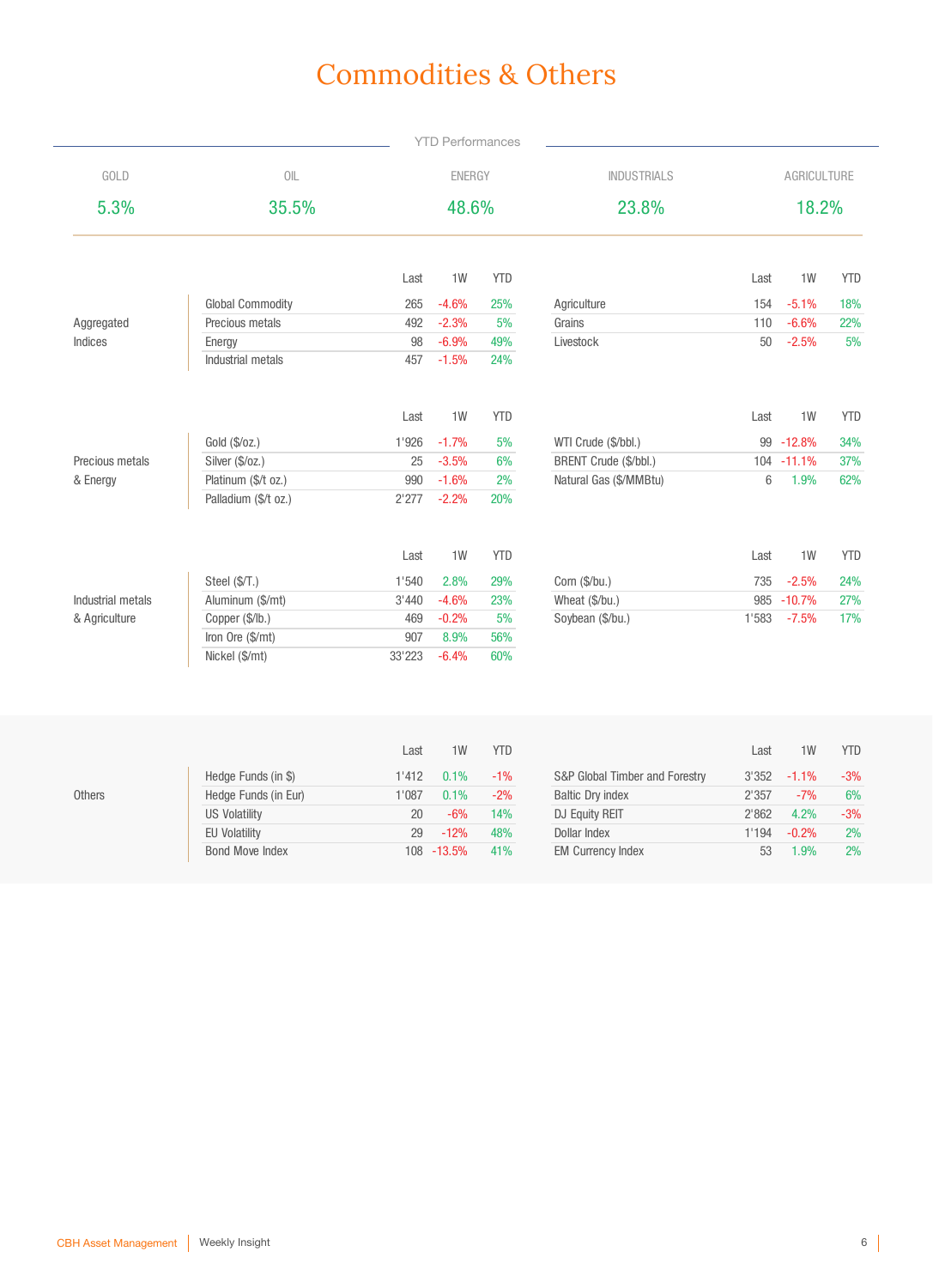# Commodities & Others

|                   |                         |        | <b>YTD Performances</b> |            |                                |         |             |            |  |
|-------------------|-------------------------|--------|-------------------------|------------|--------------------------------|---------|-------------|------------|--|
| GOLD              | $0\mathbb{L}$           |        | <b>ENERGY</b>           |            | <b>INDUSTRIALS</b>             |         | AGRICULTURE |            |  |
| 5.3%              | 35.5%                   |        | 48.6%                   |            | 23.8%                          |         | 18.2%       |            |  |
|                   |                         | Last   | 1W                      | <b>YTD</b> |                                | Last    | 1W          | <b>YTD</b> |  |
|                   | <b>Global Commodity</b> | 265    | $-4.6%$                 | 25%        | Agriculture                    | 154     | $-5.1%$     | 18%        |  |
| Aggregated        | Precious metals         | 492    | $-2.3%$                 | $5\%$      | Grains                         | 110     | $-6.6%$     | 22%        |  |
| Indices           | Energy                  | 98     | $-6.9%$                 | 49%        | Livestock                      | 50      | $-2.5%$     | 5%         |  |
|                   | Industrial metals       | 457    | $-1.5%$                 | 24%        |                                |         |             |            |  |
|                   |                         | Last   | 1W                      | <b>YTD</b> |                                | Last    | 1W          | <b>YTD</b> |  |
|                   | Gold (\$/oz.)           | 1'926  | $-1.7%$                 | 5%         | WTI Crude (\$/bbl.)            | 99      | $-12.8%$    | 34%        |  |
| Precious metals   | Silver (\$/oz.)         | 25     | $-3.5%$                 | 6%         | BRENT Crude (\$/bbl.)          | 104     | $-11.1%$    | 37%        |  |
| & Energy          | Platinum (\$/t oz.)     | 990    | $-1.6%$                 | 2%         | Natural Gas (\$/MMBtu)         | $\,6\,$ | 1.9%        | 62%        |  |
|                   | Palladium (\$/t oz.)    | 2'277  | $-2.2%$                 | 20%        |                                |         |             |            |  |
|                   |                         | Last   | 1W                      | <b>YTD</b> |                                | Last    | 1W          | <b>YTD</b> |  |
|                   | Steel (\$/T.)           | 1'540  | 2.8%                    | 29%        | Corn (\$/bu.)                  | 735     | $-2.5%$     | 24%        |  |
| Industrial metals | Aluminum (\$/mt)        | 3'440  | $-4.6%$                 | 23%        | Wheat (\$/bu.)                 | 985     | $-10.7%$    | 27%        |  |
| & Agriculture     | Copper (\$/lb.)         | 469    | $-0.2%$                 | 5%         | Soybean (\$/bu.)               | 1'583   | $-7.5%$     | 17%        |  |
|                   | Iron Ore (\$/mt)        | 907    | 8.9%                    | 56%        |                                |         |             |            |  |
|                   | Nickel (\$/mt)          | 33'223 | $-6.4%$                 | 60%        |                                |         |             |            |  |
|                   |                         |        |                         |            |                                |         |             |            |  |
|                   |                         | Last   | 1W                      | <b>YTD</b> |                                | Last    | 1W          | <b>YTD</b> |  |
|                   | Hedge Funds (in \$)     | 1'412  | 0.1%                    | $-1%$      | S&P Global Timber and Forestry | 3'352   | $-1.1%$     | $-3%$      |  |
| <b>Others</b>     | Hedge Funds (in Eur)    | 1'087  | 0.1%                    | $-2%$      | <b>Baltic Dry index</b>        | 2'357   | $-7%$       | 6%         |  |
|                   | <b>US Volatility</b>    | 20     | $-6%$                   | 14%        | DJ Equity REIT                 | 2'862   | 4.2%        | $-3%$      |  |
|                   | <b>EU Volatility</b>    | 29     | $-12%$                  | 48%        | Dollar Index                   | 1'194   | $-0.2%$     | $2\%$      |  |
|                   | <b>Bond Move Index</b>  |        | 108 - 13.5%             | 41%        | <b>EM Currency Index</b>       | 53      | 1.9%        | 2%         |  |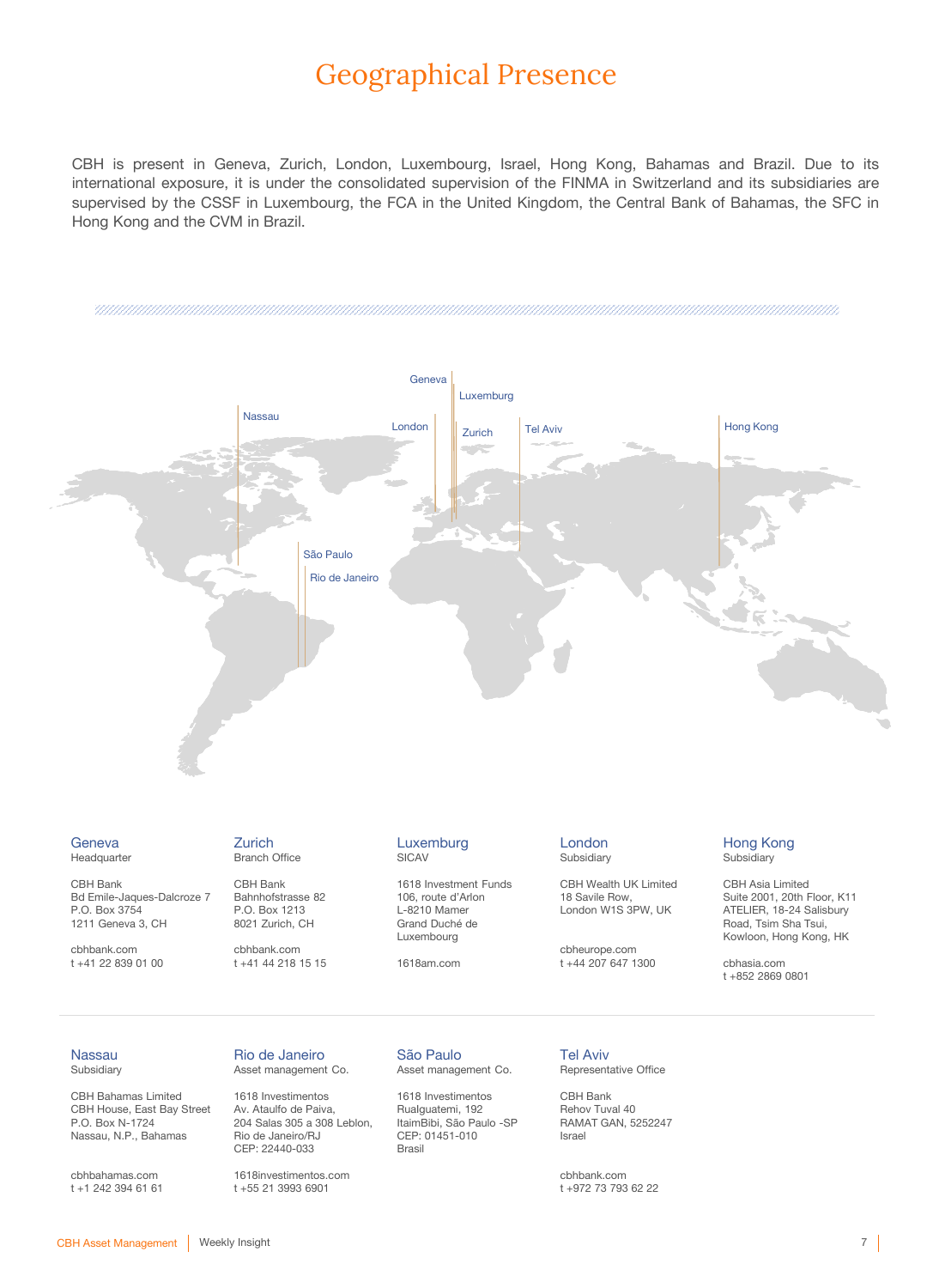### Geographical Presence

CBH is present in Geneva, Zurich, London, Luxembourg, Israel, Hong Kong, Bahamas and Brazil. Due to its international exposure, it is under the consolidated supervision of the FINMA in Switzerland and its subsidiaries are supervised by the CSSF in Luxembourg, the FCA in the United Kingdom, the Central Bank of Bahamas, the SFC in Hong Kong and the CVM in Brazil.



#### **Geneva**

Headquarter CBH Bank

Bd Emile-Jaques-Dalcroze 7 P.O. Box 3754 1211 Geneva 3, CH

cbhbank.com t +41 22 839 01 00

#### Zurich Branch Office

CBH Bank Bahnhofstrasse 82 P.O. Box 1213 8021 Zurich, CH

cbhbank.com t +41 44 218 15 15

#### Luxemburg SICAV

1618 Investment Funds 106, route d'Arlon L-8210 Mamer Grand Duché de Luxembourg

1618am.com

#### London Subsidiary

CBH Wealth UK Limited 18 Savile Row, London W1S 3PW, UK

cbheurope.com t +44 207 647 1300

### Hong Kong

**Subsidiary** 

CBH Asia Limited Suite 2001, 20th Floor, K11 ATELIER, 18-24 Salisbury Road, Tsim Sha Tsui, Kowloon, Hong Kong, HK

cbhasia.com t +852 2869 0801

#### **Nassau**

Subsidiary

CBH Bahamas Limited CBH House, East Bay Street P.O. Box N-1724 Nassau, N.P., Bahamas

cbhbahamas.com t +1 242 394 61 61

#### Rio de Janeiro Asset management Co.

1618 Investimentos Av. Ataulfo de Paiva, 204 Salas 305 a 308 Leblon, Rio de Janeiro/RJ CEP: 22440-033

1618investimentos.com t +55 21 3993 6901

#### São Paulo Asset management Co.

1618 Investimentos RuaIguatemi, 192 ItaimBibi, São Paulo -SP CEP: 01451-010 Brasil

#### Tel Aviv Representative Office

CBH Bank Rehov Tuval 40 RAMAT GAN, 5252247 Israel

cbhbank.com t +972 73 793 62 22